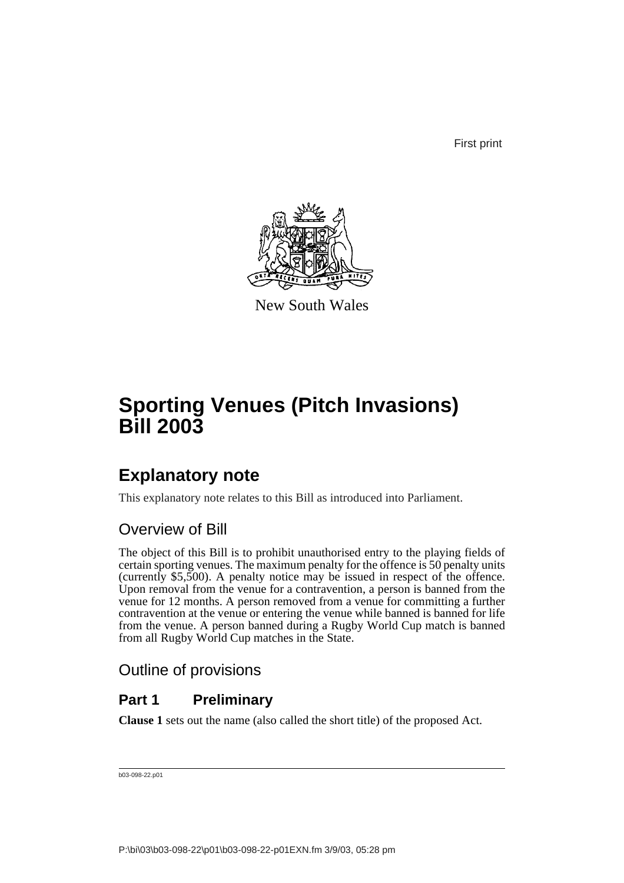First print



New South Wales

# **Sporting Venues (Pitch Invasions) Bill 2003**

# **Explanatory note**

This explanatory note relates to this Bill as introduced into Parliament.

# Overview of Bill

The object of this Bill is to prohibit unauthorised entry to the playing fields of certain sporting venues. The maximum penalty for the offence is 50 penalty units (currently \$5,500). A penalty notice may be issued in respect of the offence. Upon removal from the venue for a contravention, a person is banned from the venue for 12 months. A person removed from a venue for committing a further contravention at the venue or entering the venue while banned is banned for life from the venue. A person banned during a Rugby World Cup match is banned from all Rugby World Cup matches in the State.

## Outline of provisions

### **Part 1 Preliminary**

**Clause 1** sets out the name (also called the short title) of the proposed Act.

b03-098-22.p01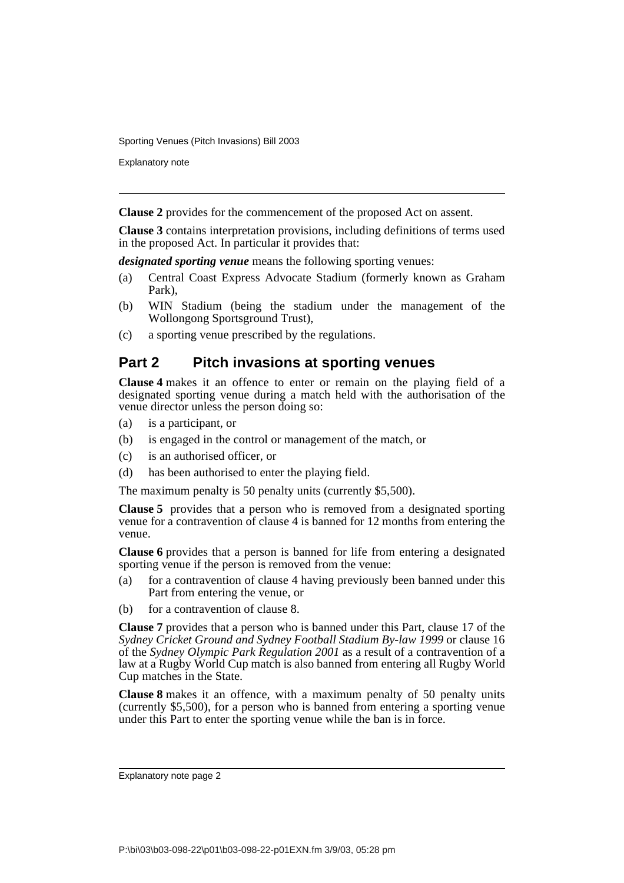Explanatory note

**Clause 2** provides for the commencement of the proposed Act on assent.

**Clause 3** contains interpretation provisions, including definitions of terms used in the proposed Act. In particular it provides that:

*designated sporting venue* means the following sporting venues:

- (a) Central Coast Express Advocate Stadium (formerly known as Graham Park),
- (b) WIN Stadium (being the stadium under the management of the Wollongong Sportsground Trust),
- (c) a sporting venue prescribed by the regulations.

### **Part 2 Pitch invasions at sporting venues**

**Clause 4** makes it an offence to enter or remain on the playing field of a designated sporting venue during a match held with the authorisation of the venue director unless the person doing so:

- (a) is a participant, or
- (b) is engaged in the control or management of the match, or
- (c) is an authorised officer, or
- (d) has been authorised to enter the playing field.

The maximum penalty is 50 penalty units (currently \$5,500).

**Clause 5** provides that a person who is removed from a designated sporting venue for a contravention of clause 4 is banned for 12 months from entering the venue.

**Clause 6** provides that a person is banned for life from entering a designated sporting venue if the person is removed from the venue:

- (a) for a contravention of clause 4 having previously been banned under this Part from entering the venue, or
- (b) for a contravention of clause 8.

**Clause 7** provides that a person who is banned under this Part, clause 17 of the *Sydney Cricket Ground and Sydney Football Stadium By-law 1999* or clause 16 of the *Sydney Olympic Park Regulation 2001* as a result of a contravention of a law at a Rugby World Cup match is also banned from entering all Rugby World Cup matches in the State.

**Clause 8** makes it an offence, with a maximum penalty of 50 penalty units (currently \$5,500), for a person who is banned from entering a sporting venue under this Part to enter the sporting venue while the ban is in force.

Explanatory note page 2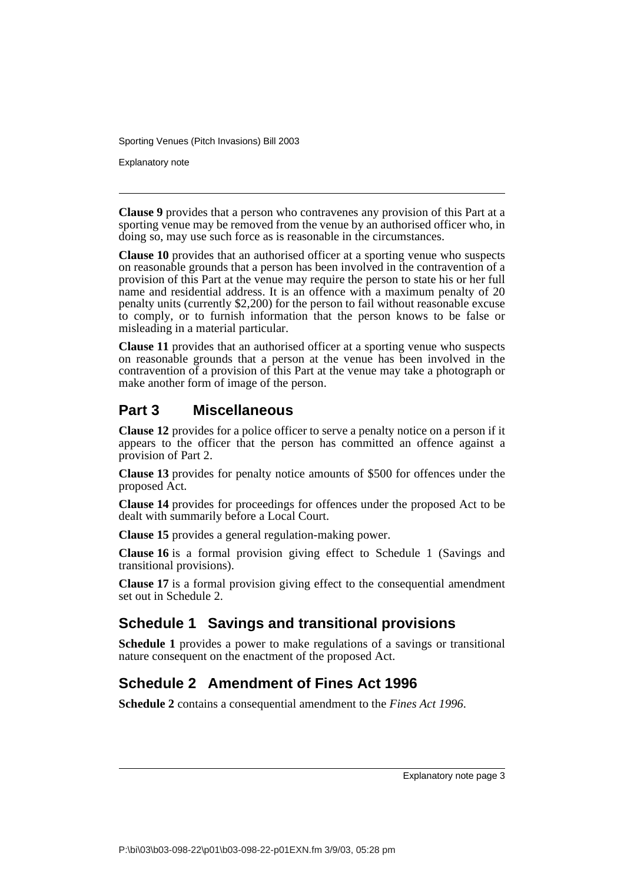Explanatory note

**Clause 9** provides that a person who contravenes any provision of this Part at a sporting venue may be removed from the venue by an authorised officer who, in doing so, may use such force as is reasonable in the circumstances.

**Clause 10** provides that an authorised officer at a sporting venue who suspects on reasonable grounds that a person has been involved in the contravention of a provision of this Part at the venue may require the person to state his or her full name and residential address. It is an offence with a maximum penalty of 20 penalty units (currently \$2,200) for the person to fail without reasonable excuse to comply, or to furnish information that the person knows to be false or misleading in a material particular.

**Clause 11** provides that an authorised officer at a sporting venue who suspects on reasonable grounds that a person at the venue has been involved in the contravention of a provision of this Part at the venue may take a photograph or make another form of image of the person.

### **Part 3 Miscellaneous**

**Clause 12** provides for a police officer to serve a penalty notice on a person if it appears to the officer that the person has committed an offence against a provision of Part 2.

**Clause 13** provides for penalty notice amounts of \$500 for offences under the proposed Act.

**Clause 14** provides for proceedings for offences under the proposed Act to be dealt with summarily before a Local Court.

**Clause 15** provides a general regulation-making power.

**Clause 16** is a formal provision giving effect to Schedule 1 (Savings and transitional provisions).

**Clause 17** is a formal provision giving effect to the consequential amendment set out in Schedule 2.

### **Schedule 1 Savings and transitional provisions**

**Schedule 1** provides a power to make regulations of a savings or transitional nature consequent on the enactment of the proposed Act.

## **Schedule 2 Amendment of Fines Act 1996**

**Schedule 2** contains a consequential amendment to the *Fines Act 1996*.

Explanatory note page 3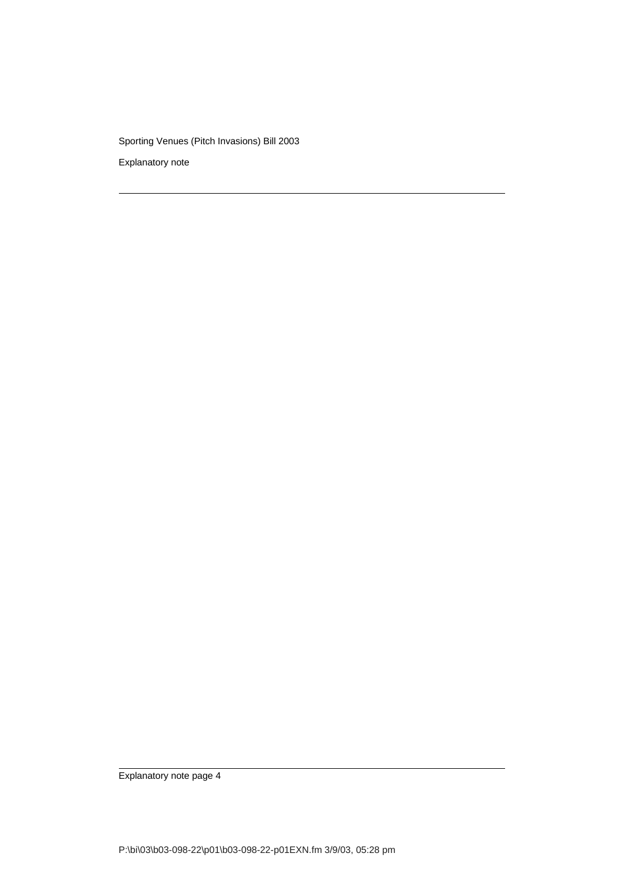Explanatory note

Explanatory note page 4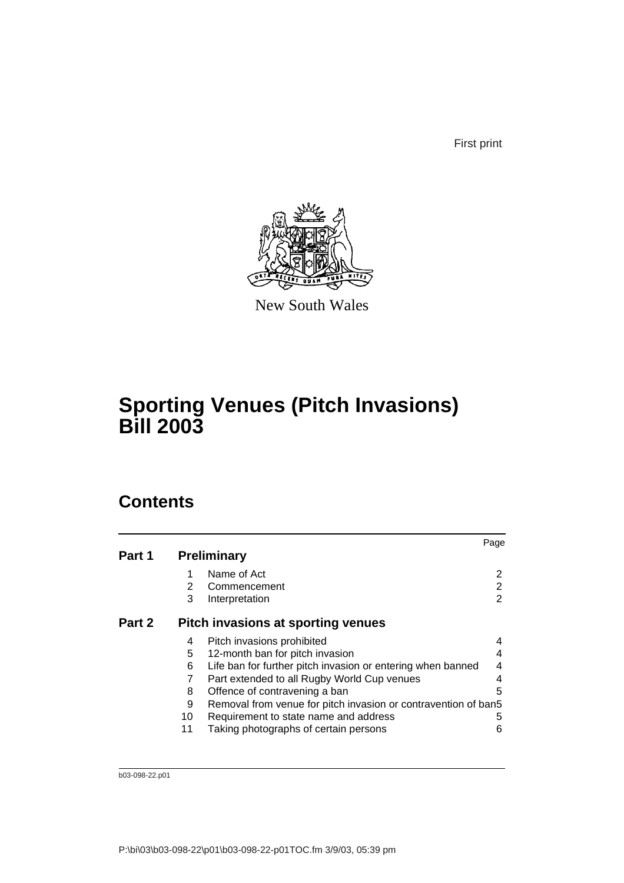First print



New South Wales

# **Sporting Venues (Pitch Invasions) Bill 2003**

# **Contents**

|        |    |                                                                | Page |
|--------|----|----------------------------------------------------------------|------|
| Part 1 |    | <b>Preliminary</b>                                             |      |
|        |    | Name of Act                                                    |      |
|        | 2  | Commencement                                                   | 2    |
|        | 3  | Interpretation                                                 | 2    |
| Part 2 |    | Pitch invasions at sporting venues                             |      |
|        | 4  | Pitch invasions prohibited                                     | 4    |
|        | 5  | 12-month ban for pitch invasion                                | 4    |
|        | 6  | Life ban for further pitch invasion or entering when banned    | 4    |
|        |    | Part extended to all Rugby World Cup venues                    | 4    |
|        | 8  | Offence of contravening a ban                                  | 5    |
|        | 9  | Removal from venue for pitch invasion or contravention of ban5 |      |
|        | 10 | Requirement to state name and address                          | 5    |
|        | 11 | Taking photographs of certain persons                          | 6    |

b03-098-22.p01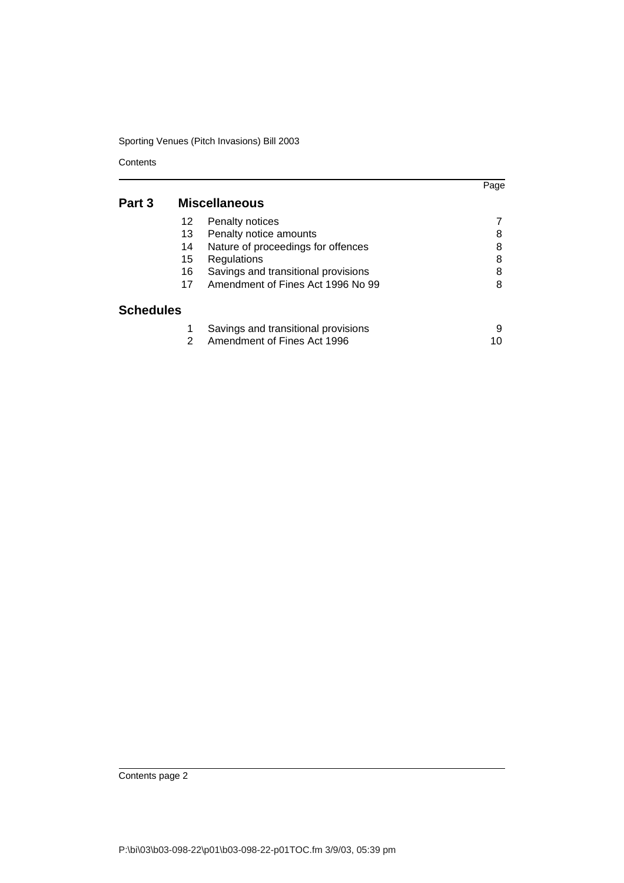**Contents** 

| Part 3    |    | <b>Miscellaneous</b>                                               |         |
|-----------|----|--------------------------------------------------------------------|---------|
|           | 12 | Penalty notices                                                    |         |
|           | 13 | Penalty notice amounts                                             | 8       |
|           | 14 | Nature of proceedings for offences                                 | 8       |
|           | 15 | Regulations                                                        | 8       |
|           | 16 | Savings and transitional provisions                                | 8       |
|           | 17 | Amendment of Fines Act 1996 No 99                                  | 8       |
| Schedules |    |                                                                    |         |
|           | 2  | Savings and transitional provisions<br>Amendment of Fines Act 1996 | 9<br>10 |

Page

Contents page 2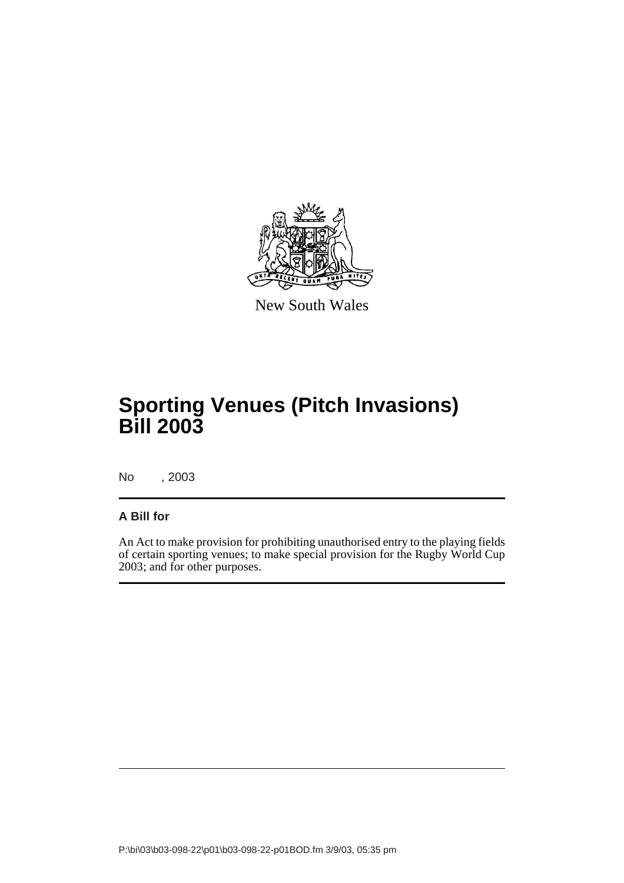

New South Wales

# **Sporting Venues (Pitch Invasions) Bill 2003**

No , 2003

#### **A Bill for**

An Act to make provision for prohibiting unauthorised entry to the playing fields of certain sporting venues; to make special provision for the Rugby World Cup 2003; and for other purposes.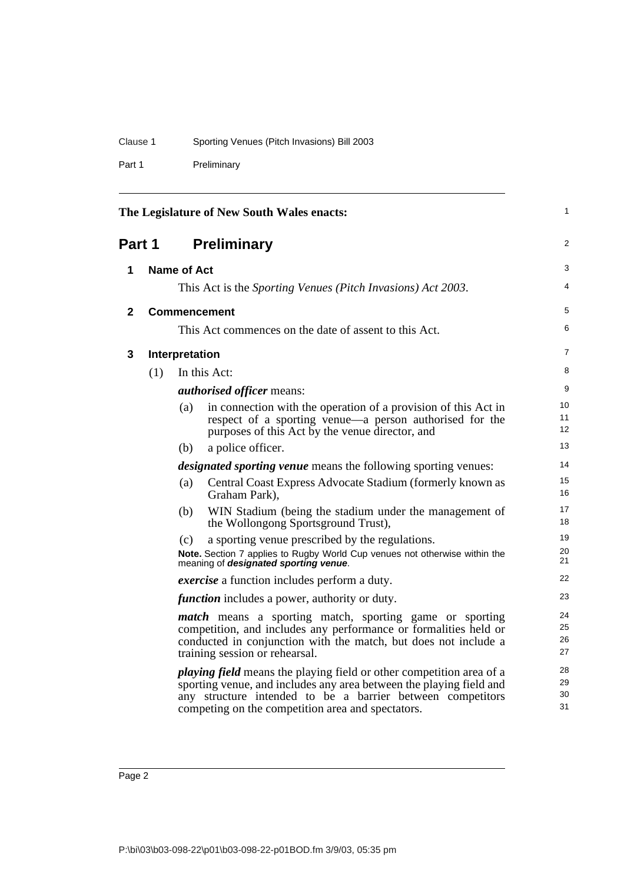### Clause 1 Sporting Venues (Pitch Invasions) Bill 2003

Part 1 Preliminary

<span id="page-7-3"></span><span id="page-7-2"></span><span id="page-7-1"></span><span id="page-7-0"></span>

| The Legislature of New South Wales enacts:<br>Part 1<br><b>Preliminary</b> |     | 1                  |                                                                                                                                                                                                                                                                       |                      |
|----------------------------------------------------------------------------|-----|--------------------|-----------------------------------------------------------------------------------------------------------------------------------------------------------------------------------------------------------------------------------------------------------------------|----------------------|
|                                                                            |     |                    |                                                                                                                                                                                                                                                                       | 2                    |
| 1                                                                          |     | <b>Name of Act</b> |                                                                                                                                                                                                                                                                       | 3                    |
|                                                                            |     |                    | This Act is the Sporting Venues (Pitch Invasions) Act 2003.                                                                                                                                                                                                           | 4                    |
| $\mathbf{2}$                                                               |     |                    | <b>Commencement</b>                                                                                                                                                                                                                                                   | 5                    |
|                                                                            |     |                    | This Act commences on the date of assent to this Act.                                                                                                                                                                                                                 | 6                    |
| 3                                                                          |     | Interpretation     |                                                                                                                                                                                                                                                                       | 7                    |
|                                                                            | (1) |                    | In this Act:                                                                                                                                                                                                                                                          | 8                    |
|                                                                            |     |                    | <i>authorised officer means:</i>                                                                                                                                                                                                                                      | 9                    |
|                                                                            |     | (a)                | in connection with the operation of a provision of this Act in<br>respect of a sporting venue—a person authorised for the<br>purposes of this Act by the venue director, and                                                                                          | 10<br>11<br>12       |
|                                                                            |     | (b)                | a police officer.                                                                                                                                                                                                                                                     | 13                   |
|                                                                            |     |                    | <i>designated sporting venue</i> means the following sporting venues:                                                                                                                                                                                                 | 14                   |
|                                                                            |     | (a)                | Central Coast Express Advocate Stadium (formerly known as<br>Graham Park),                                                                                                                                                                                            | 15<br>16             |
|                                                                            |     | (b)                | WIN Stadium (being the stadium under the management of<br>the Wollongong Sportsground Trust),                                                                                                                                                                         | 17<br>18             |
|                                                                            |     | (c)                | a sporting venue prescribed by the regulations.                                                                                                                                                                                                                       | 19                   |
|                                                                            |     |                    | Note. Section 7 applies to Rugby World Cup venues not otherwise within the<br>meaning of designated sporting venue.                                                                                                                                                   | 20<br>21             |
|                                                                            |     |                    | <i>exercise</i> a function includes perform a duty.                                                                                                                                                                                                                   | 22                   |
|                                                                            |     |                    | <i>function</i> includes a power, authority or duty.                                                                                                                                                                                                                  | 23                   |
|                                                                            |     |                    | <i>match</i> means a sporting match, sporting game or sporting<br>competition, and includes any performance or formalities held or<br>conducted in conjunction with the match, but does not include a<br>training session or rehearsal.                               | 24<br>25<br>26<br>27 |
|                                                                            |     |                    | <i>playing field</i> means the playing field or other competition area of a<br>sporting venue, and includes any area between the playing field and<br>any structure intended to be a barrier between competitors<br>competing on the competition area and spectators. | 28<br>29<br>30<br>31 |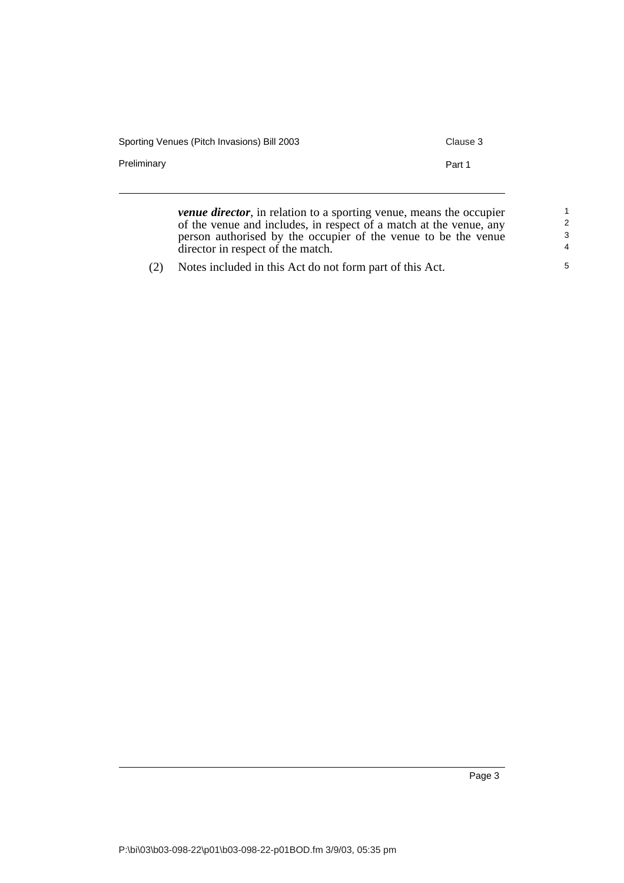| Sporting Venues (Pitch Invasions) Bill 2003                                                                                                       | Clause 3 |  |
|---------------------------------------------------------------------------------------------------------------------------------------------------|----------|--|
| Preliminary                                                                                                                                       | Part 1   |  |
| <i>venue director</i> , in relation to a sporting venue, means the occupier<br>of the venue and includes, in respect of a match at the venue, any |          |  |

person authorised by the occupier of the venue to be the venue

(2) Notes included in this Act do not form part of this Act.

director in respect of the match.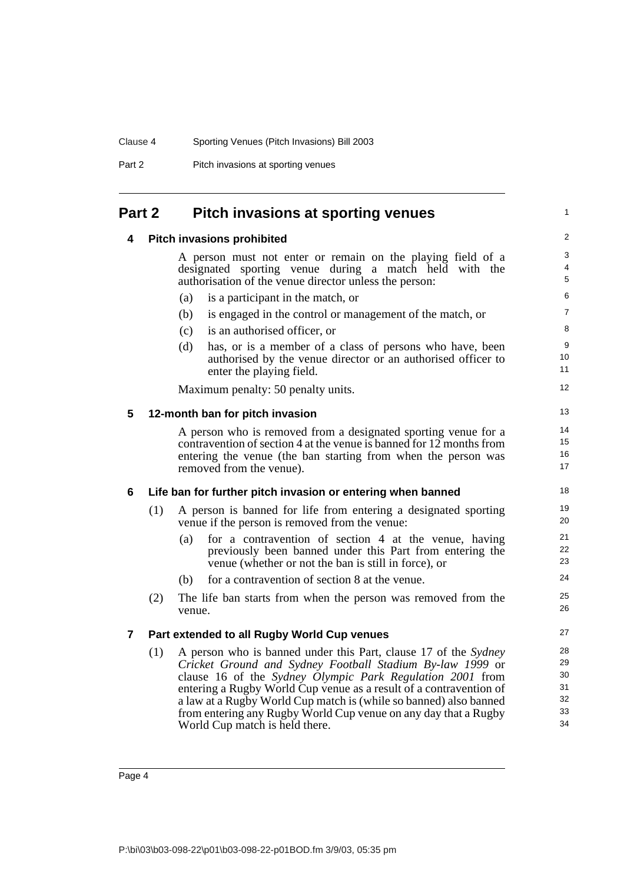Part 2 Pitch invasions at sporting venues

### <span id="page-9-1"></span><span id="page-9-0"></span>**Part 2 Pitch invasions at sporting venues**

#### **4 Pitch invasions prohibited**

A person must not enter or remain on the playing field of a designated sporting venue during a match held with the authorisation of the venue director unless the person:

1

- (a) is a participant in the match, or
- (b) is engaged in the control or management of the match, or
- (c) is an authorised officer, or
- (d) has, or is a member of a class of persons who have, been authorised by the venue director or an authorised officer to enter the playing field.

Maximum penalty: 50 penalty units.

#### <span id="page-9-2"></span>**5 12-month ban for pitch invasion**

A person who is removed from a designated sporting venue for a contravention of section 4 at the venue is banned for 12 months from entering the venue (the ban starting from when the person was removed from the venue).

#### <span id="page-9-3"></span>**6 Life ban for further pitch invasion or entering when banned**

- (1) A person is banned for life from entering a designated sporting venue if the person is removed from the venue:
	- (a) for a contravention of section 4 at the venue, having previously been banned under this Part from entering the venue (whether or not the ban is still in force), or
	- (b) for a contravention of section 8 at the venue.
- (2) The life ban starts from when the person was removed from the venue.

#### <span id="page-9-4"></span>**7 Part extended to all Rugby World Cup venues**

(1) A person who is banned under this Part, clause 17 of the *Sydney Cricket Ground and Sydney Football Stadium By-law 1999* or clause 16 of the *Sydney Olympic Park Regulation 2001* from entering a Rugby World Cup venue as a result of a contravention of a law at a Rugby World Cup match is (while so banned) also banned from entering any Rugby World Cup venue on any day that a Rugby World Cup match is held there.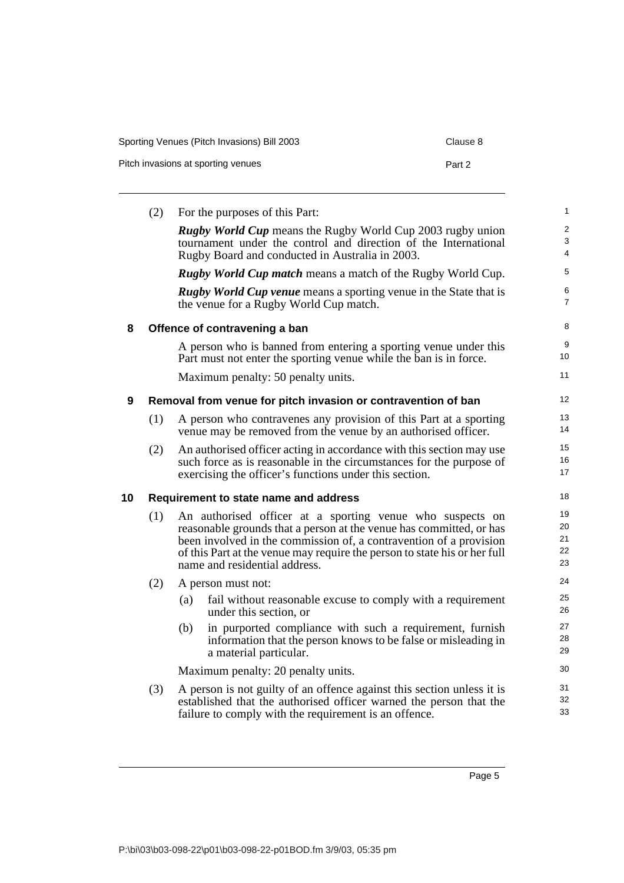| Sporting Venues (Pitch Invasions) Bill 2003 | Clause 8 |
|---------------------------------------------|----------|
| Pitch invasions at sporting venues          | Part 2   |

<span id="page-10-2"></span><span id="page-10-1"></span><span id="page-10-0"></span>

|    | (2)                                                           | For the purposes of this Part:                                                                                                                                                                                                                                                                                       | $\mathbf{1}$               |  |  |
|----|---------------------------------------------------------------|----------------------------------------------------------------------------------------------------------------------------------------------------------------------------------------------------------------------------------------------------------------------------------------------------------------------|----------------------------|--|--|
|    |                                                               | <b>Rugby World Cup</b> means the Rugby World Cup 2003 rugby union<br>tournament under the control and direction of the International<br>Rugby Board and conducted in Australia in 2003.                                                                                                                              | $\overline{c}$<br>3<br>4   |  |  |
|    |                                                               | <b>Rugby World Cup match</b> means a match of the Rugby World Cup.                                                                                                                                                                                                                                                   | $\,$ 5 $\,$                |  |  |
|    |                                                               | <b>Rugby World Cup venue</b> means a sporting venue in the State that is<br>the venue for a Rugby World Cup match.                                                                                                                                                                                                   | 6<br>$\overline{7}$        |  |  |
| 8  | Offence of contravening a ban                                 |                                                                                                                                                                                                                                                                                                                      |                            |  |  |
|    |                                                               | A person who is banned from entering a sporting venue under this<br>Part must not enter the sporting venue while the ban is in force.                                                                                                                                                                                | 9<br>10                    |  |  |
|    |                                                               | Maximum penalty: 50 penalty units.                                                                                                                                                                                                                                                                                   | 11                         |  |  |
| 9  | Removal from venue for pitch invasion or contravention of ban |                                                                                                                                                                                                                                                                                                                      |                            |  |  |
|    | (1)                                                           | A person who contravenes any provision of this Part at a sporting<br>venue may be removed from the venue by an authorised officer.                                                                                                                                                                                   | 13<br>14                   |  |  |
|    | (2)                                                           | An authorised officer acting in accordance with this section may use<br>such force as is reasonable in the circumstances for the purpose of<br>exercising the officer's functions under this section.                                                                                                                | 15<br>16<br>17             |  |  |
| 10 |                                                               | Requirement to state name and address                                                                                                                                                                                                                                                                                | 18                         |  |  |
|    | (1)                                                           | An authorised officer at a sporting venue who suspects on<br>reasonable grounds that a person at the venue has committed, or has<br>been involved in the commission of, a contravention of a provision<br>of this Part at the venue may require the person to state his or her full<br>name and residential address. | 19<br>20<br>21<br>22<br>23 |  |  |
|    | (2)                                                           | A person must not:                                                                                                                                                                                                                                                                                                   | 24                         |  |  |
|    |                                                               | fail without reasonable excuse to comply with a requirement<br>(a)<br>under this section, or                                                                                                                                                                                                                         | 25<br>26                   |  |  |
|    |                                                               | in purported compliance with such a requirement, furnish<br>(b)<br>information that the person knows to be false or misleading in<br>a material particular.                                                                                                                                                          | 27<br>28<br>29             |  |  |
|    |                                                               | Maximum penalty: 20 penalty units.                                                                                                                                                                                                                                                                                   | 30                         |  |  |
|    | (3)                                                           | A person is not guilty of an offence against this section unless it is<br>established that the authorised officer warned the person that the<br>failure to comply with the requirement is an offence.                                                                                                                | 31<br>32<br>33             |  |  |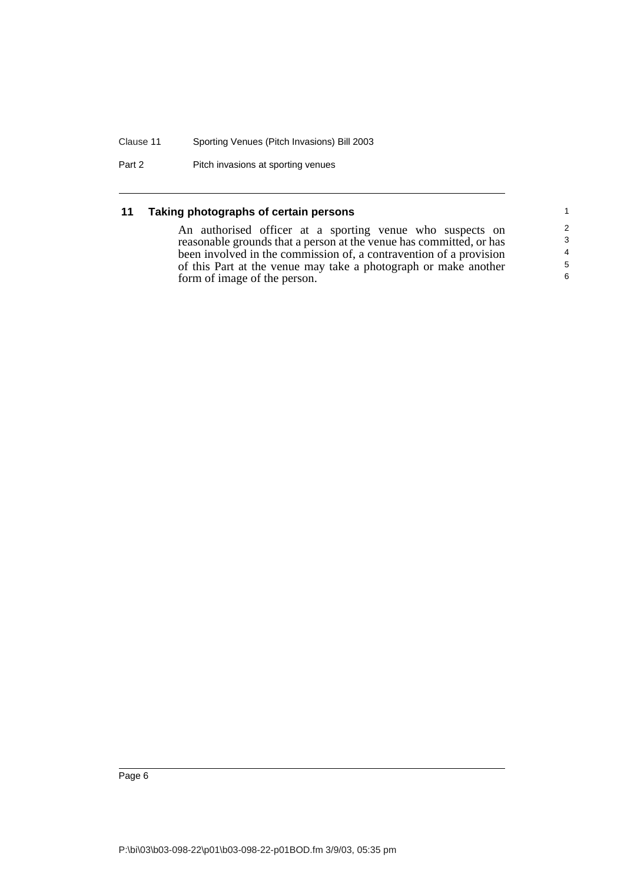#### Clause 11 Sporting Venues (Pitch Invasions) Bill 2003

Part 2 Pitch invasions at sporting venues

#### <span id="page-11-0"></span>**11 Taking photographs of certain persons**

An authorised officer at a sporting venue who suspects on reasonable grounds that a person at the venue has committed, or has been involved in the commission of, a contravention of a provision of this Part at the venue may take a photograph or make another form of image of the person.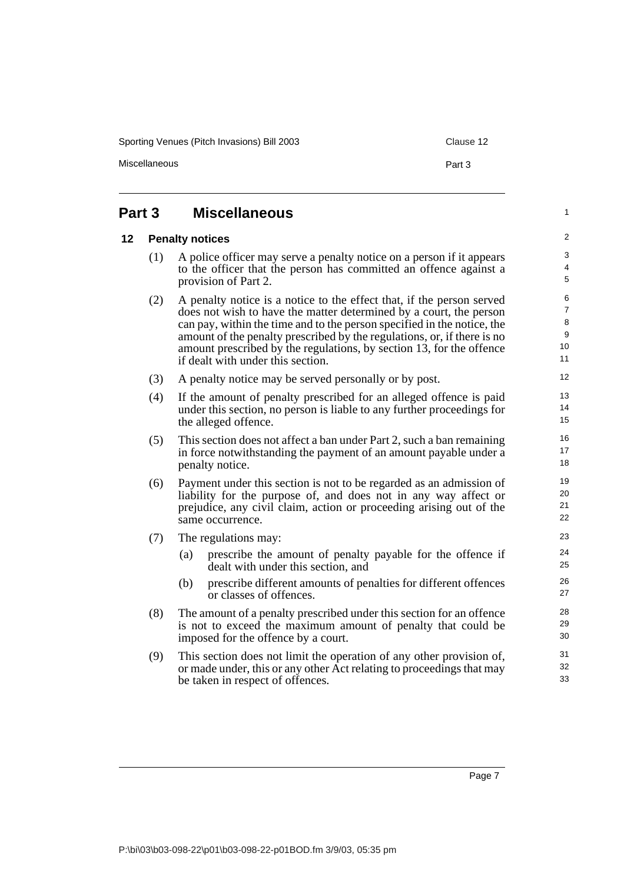Sporting Venues (Pitch Invasions) Bill 2003 Clause 12

Miscellaneous **Part 3** 

#### <span id="page-12-1"></span><span id="page-12-0"></span>**Part 3 Miscellaneous 12 Penalty notices** (1) A police officer may serve a penalty notice on a person if it appears to the officer that the person has committed an offence against a provision of Part 2. (2) A penalty notice is a notice to the effect that, if the person served does not wish to have the matter determined by a court, the person can pay, within the time and to the person specified in the notice, the amount of the penalty prescribed by the regulations, or, if there is no amount prescribed by the regulations, by section 13, for the offence if dealt with under this section. (3) A penalty notice may be served personally or by post. (4) If the amount of penalty prescribed for an alleged offence is paid under this section, no person is liable to any further proceedings for the alleged offence. (5) This section does not affect a ban under Part 2, such a ban remaining in force notwithstanding the payment of an amount payable under a penalty notice. (6) Payment under this section is not to be regarded as an admission of liability for the purpose of, and does not in any way affect or prejudice, any civil claim, action or proceeding arising out of the same occurrence. (7) The regulations may: (a) prescribe the amount of penalty payable for the offence if dealt with under this section, and (b) prescribe different amounts of penalties for different offences or classes of offences. (8) The amount of a penalty prescribed under this section for an offence is not to exceed the maximum amount of penalty that could be imposed for the offence by a court. (9) This section does not limit the operation of any other provision of, or made under, this or any other Act relating to proceedings that may be taken in respect of offences. 1  $\mathfrak{p}$ 3 4 5 6 7 8 9 10 11 12 13 14 15 16 17 18 19 20 21 22 23 24 25 26 27 28 29 30 31 32 33

Page 7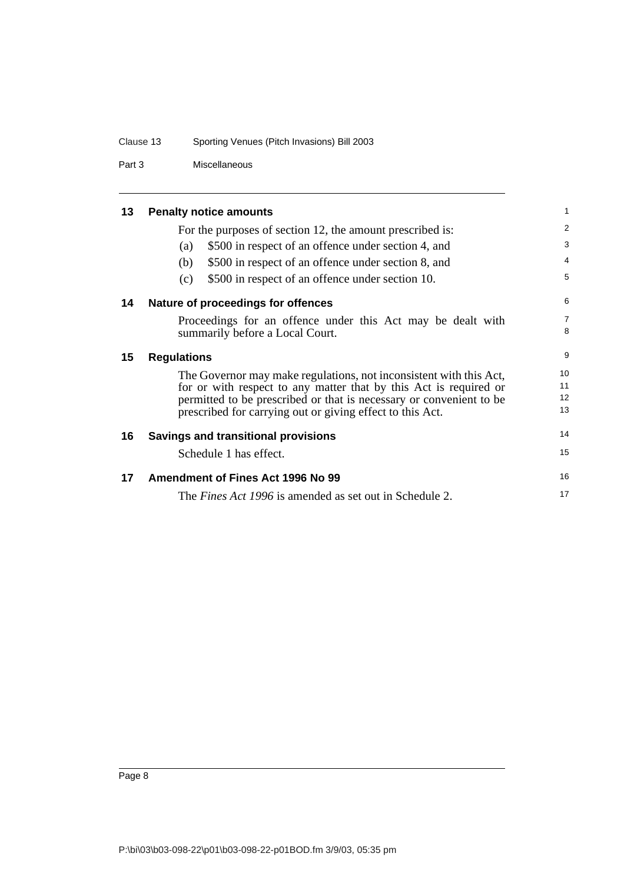### Clause 13 Sporting Venues (Pitch Invasions) Bill 2003

Part 3 Miscellaneous

<span id="page-13-4"></span><span id="page-13-3"></span><span id="page-13-2"></span><span id="page-13-1"></span><span id="page-13-0"></span>

| 13 | <b>Penalty notice amounts</b>                                                                                                                                                                                                                                               | 1                                 |
|----|-----------------------------------------------------------------------------------------------------------------------------------------------------------------------------------------------------------------------------------------------------------------------------|-----------------------------------|
|    | For the purposes of section 12, the amount prescribed is:                                                                                                                                                                                                                   | 2                                 |
|    | \$500 in respect of an offence under section 4, and<br>(a)                                                                                                                                                                                                                  | 3                                 |
|    | \$500 in respect of an offence under section 8, and<br>(b)                                                                                                                                                                                                                  | $\overline{4}$                    |
|    | \$500 in respect of an offence under section 10.<br>(c)                                                                                                                                                                                                                     | 5                                 |
| 14 | Nature of proceedings for offences                                                                                                                                                                                                                                          | 6                                 |
|    | Proceedings for an offence under this Act may be dealt with<br>summarily before a Local Court.                                                                                                                                                                              | $\overline{7}$<br>8               |
| 15 | <b>Regulations</b>                                                                                                                                                                                                                                                          | 9                                 |
|    | The Governor may make regulations, not inconsistent with this Act,<br>for or with respect to any matter that by this Act is required or<br>permitted to be prescribed or that is necessary or convenient to be<br>prescribed for carrying out or giving effect to this Act. | 10 <sup>1</sup><br>11<br>12<br>13 |
| 16 | <b>Savings and transitional provisions</b>                                                                                                                                                                                                                                  | 14                                |
|    | Schedule 1 has effect.                                                                                                                                                                                                                                                      | 15                                |
| 17 | Amendment of Fines Act 1996 No 99                                                                                                                                                                                                                                           | 16                                |
|    | The <i>Fines Act 1996</i> is amended as set out in Schedule 2.                                                                                                                                                                                                              | 17                                |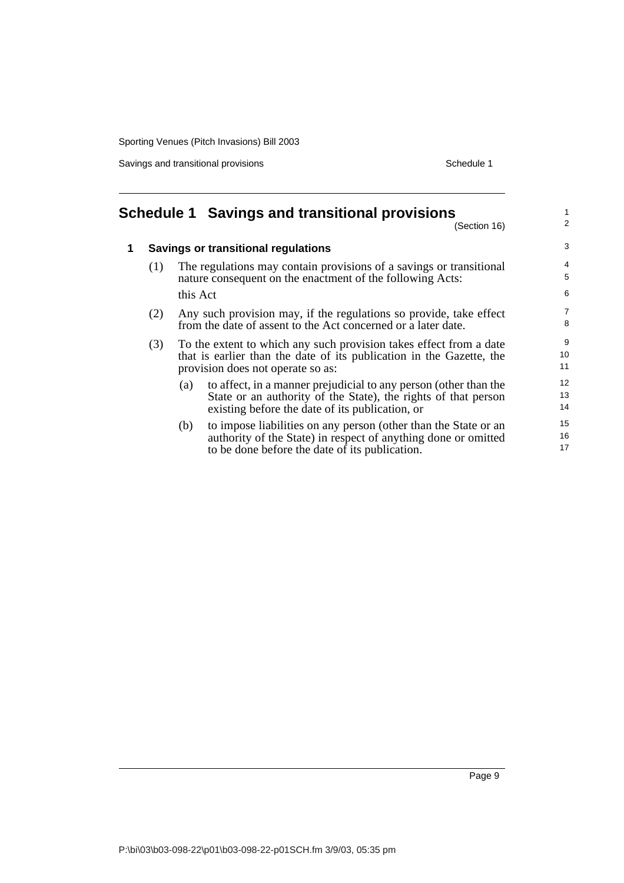Savings and transitional provisions Schedule 1 and the Schedule 1

<span id="page-14-0"></span>

|   |     | <b>Schedule 1 Savings and transitional provisions</b><br>(Section 16)                                                                                                                        | $\mathbf{1}$<br>$\overline{2}$ |
|---|-----|----------------------------------------------------------------------------------------------------------------------------------------------------------------------------------------------|--------------------------------|
| 1 |     | Savings or transitional regulations                                                                                                                                                          | 3                              |
|   | (1) | The regulations may contain provisions of a savings or transitional<br>nature consequent on the enactment of the following Acts:<br>this Act                                                 | $\overline{4}$<br>5<br>6       |
|   | (2) | Any such provision may, if the regulations so provide, take effect<br>from the date of assent to the Act concerned or a later date.                                                          | $\overline{7}$<br>8            |
|   | (3) | To the extent to which any such provision takes effect from a date<br>that is earlier than the date of its publication in the Gazette, the<br>provision does not operate so as:              | 9<br>10 <sup>1</sup><br>11     |
|   |     | to affect, in a manner prejudicial to any person (other than the<br>(a)<br>State or an authority of the State), the rights of that person<br>existing before the date of its publication, or | 12 <sup>2</sup><br>13<br>14    |
|   |     | to impose liabilities on any person (other than the State or an<br>(b)<br>authority of the State) in respect of anything done or omitted<br>to be done before the date of its publication.   | 15<br>16<br>17                 |